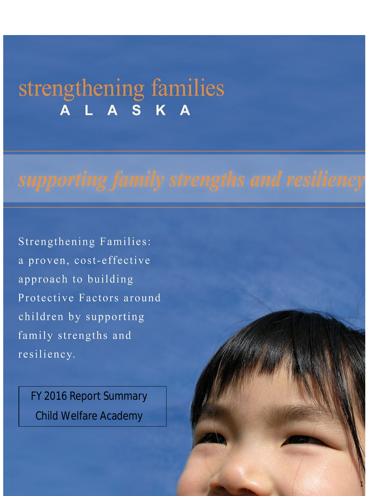# strengthening families A S K

**Strengthening Families:** a proven, cost-effective approach to building Protective Factors around children by supporting family strengths and resiliency.

FY 2016 Report Summary Child Welfare Academy

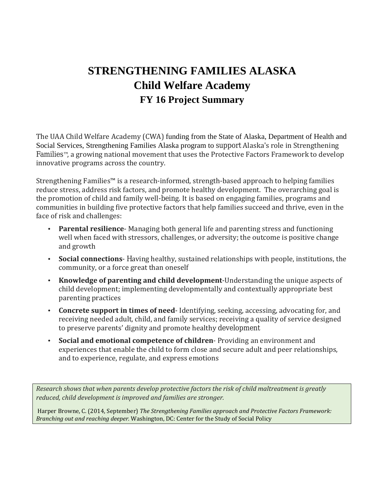# **STRENGTHENING FAMILIES ALASKA Child Welfare Academy FY 16 Project Summary**

The UAA Child Welfare Academy (CWA) funding from the State of Alaska, Department of Health and Social Services, Strengthening Families Alaska program to support Alaska's role in Strengthening Families™, a growing national movement that uses the Protective Factors Framework to develop innovative programs across the country.

Strengthening Families™ is a research-informed, strength-based approach to helping families reduce stress, address risk factors, and promote healthy development. The overarching goal is the promotion of child and family well-being. It is based on engaging families, programs and communities in building five protective factors that help families succeed and thrive, even in the face of risk and challenges:

- **Parental resilience** Managing both general life and parenting stress and functioning L, well when faced with stressors, challenges, or adversity; the outcome is positive change and growth
- **Social connections** Having healthy, sustained relationships with people, institutions, the k. community, or a force great than oneself
- **Knowledge of parenting and child development**-Understanding the unique aspects of  $\mathcal{L}^{\text{max}}$ child development; implementing developmentally and contextually appropriate best parenting practices
- **Concrete support in times of need** Identifying, seeking, accessing, advocating for, and receiving needed adult, child, and family services; receiving a quality of service designed to preserve parents' dignity and promote healthy development
- **Social and emotional competence of children** Providing an environment and ä, experiences that enable the child to form close and secure adult and peer relationships, and to experience, regulate, and express emotions

*Research shows that when parents develop protective factors the risk of child maltreatment is greatly reduced, child development is improved and families are stronger.*

Harper Browne, C. (2014, September) *The Strengthening Families approach and Protective Factors Framework: Branching out and reaching deeper.* Washington, DC: Center for the Study of Social Policy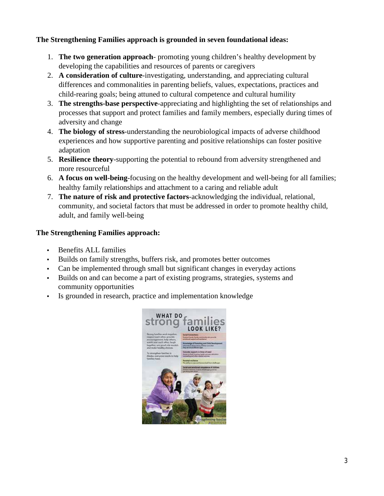#### **The Strengthening Families approach is grounded in seven foundational ideas:**

- 1. **The two generation approach** promoting young children's healthy development by developing the capabilities and resources of parents or caregivers
- 2. **A consideration of culture**-investigating, understanding, and appreciating cultural differences and commonalities in parenting beliefs, values, expectations, practices and child-rearing goals; being attuned to cultural competence and cultural humility
- 3. **The strengths-base perspective**-appreciating and highlighting the set of relationships and processes that support and protect families and family members, especially during times of adversity and change
- 4. **The biology of stress**-understanding the neurobiological impacts of adverse childhood experiences and how supportive parenting and positive relationships can foster positive adaptation
- 5. **Resilience theory**-supporting the potential to rebound from adversity strengthened and more resourceful
- 6. **A focus on well-being**-focusing on the healthy development and well-being for all families; healthy family relationships and attachment to a caring and reliable adult
- 7. **The nature of risk and protective factors**-acknowledging the individual, relational, community, and societal factors that must be addressed in order to promote healthy child, adult, and family well-being

#### **The Strengthening Families approach:**

- Benefits ALL families
- Builds on family strengths, buffers risk, and promotes better outcomes
- Can be implemented through small but significant changes in everyday actions
- Builds on and can become a part of existing programs, strategies, systems and community opportunities
- Is grounded in research, practice and implementation knowledge

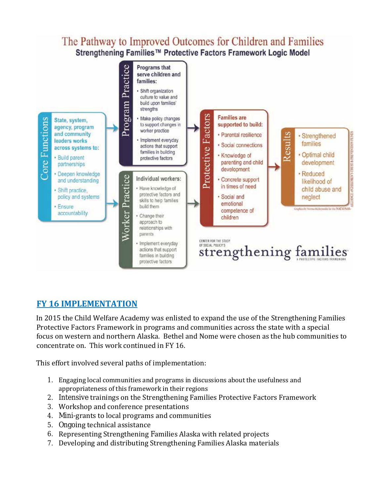## The Pathway to Improved Outcomes for Children and Families Strengthening Families™ Protective Factors Framework Logic Model



### **FY 16 IMPLEMENTATION**

In 2015 the Child Welfare Academy was enlisted to expand the use of the Strengthening Families Protective Factors Framework in programs and communities across the state with a special focus on western and northern Alaska. Bethel and Nome were chosen as the hub communities to concentrate on. This work continued in FY 16.

This effort involved several paths of implementation:

- 1. Engaging local communities and programs in discussions about the usefulness and appropriateness of this framework in their regions
- 2. Intensive trainings on the Strengthening Families Protective Factors Framework
- 3. Workshop and conference presentations
- 4. Mini-grants to local programs and communities
- 5. Ongoing technical assistance
- 6. Representing Strengthening Families Alaska with related projects
- 7. Developing and distributing Strengthening Families Alaska materials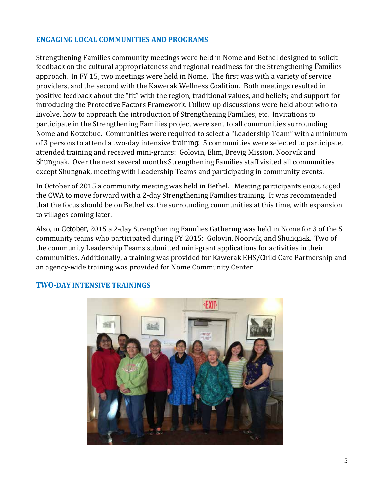#### **ENGAGING LOCAL COMMUNITIES AND PROGRAMS**

Strengthening Families community meetings were held in Nome and Bethel designed to solicit feedback on the cultural appropriateness and regional readiness for the Strengthening Families approach. In FY 15, two meetings were held in Nome. The first was with a variety of service providers, and the second with the Kawerak Wellness Coalition. Both meetings resulted in positive feedback about the "fit" with the region, traditional values, and beliefs; and support for introducing the Protective Factors Framework. Follow-up discussions were held about who to involve, how to approach the introduction of Strengthening Families, etc. Invitations to participate in the Strengthening Families project were sent to all communities surrounding Nome and Kotzebue. Communities were required to select a "Leadership Team" with a minimum of 3 persons to attend a two-day intensive training. 5 communities were selected to participate, attended training and received mini-grants: Golovin, Elim, Brevig Mission, Noorvik and Shungnak. Over the next several months Strengthening Families staff visited all communities except Shungnak, meeting with Leadership Teams and participating in community events.

In October of 2015 a community meeting was held in Bethel. Meeting participants encouraged the CWA to move forward with a 2-day Strengthening Families training. It was recommended that the focus should be on Bethel vs. the surrounding communities at this time, with expansion to villages coming later.

Also, in October, 2015 a 2-day Strengthening Families Gathering was held in Nome for 3 of the 5 community teams who participated during FY 2015: Golovin, Noorvik, and Shungnak. Two of the community Leadership Teams submitted mini-grant applications for activities in their communities. Additionally, a training was provided for Kawerak EHS/Child Care Partnership and an agency-wide training was provided for Nome Community Center.



#### **TWO-DAY INTENSIVE TRAININGS**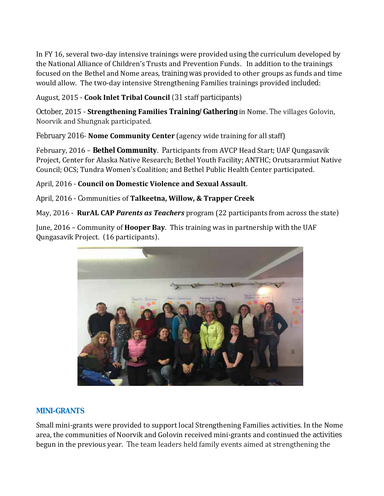In FY 16, several two-day intensive trainings were provided using the curriculum developed by the National Alliance of Children's Trusts and Prevention Funds. In addition to the trainings focused on the Bethel and Nome areas, training was provided to other groups as funds and time would allow. The two-day intensive Strengthening Families trainings provided included:

August, 2015 - **Cook Inlet Tribal Council** (31 staff participants)

October, 2015 - **Strengthening Families Training/Gathering** in Nome. The villages Golovin, Noorvik and Shungnak participated.

February 2016- **Nome Community Center** (agency wide training for all staff)

February, 2016 – **Bethel Community**. Participants from AVCP Head Start; UAF Qungasavik Project, Center for Alaska Native Research; Bethel Youth Facility; ANTHC; Orutsararmiut Native Council; OCS; Tundra Women's Coalition; and Bethel Public Health Center participated.

April, 2016 - **Council on Domestic Violence and Sexual Assault**.

April, 2016 - Communities of **Talkeetna, Willow, & Trapper Creek**

May, 2016 - **RurAL CAP** *Parents as Teachers* program (22 participants from across the state)

June, 2016 – Community of **Hooper Bay**. This training was in partnership with the UAF Qungasavik Project. (16 participants).



#### **MINI-GRANTS**

Small mini-grants were provided to support local Strengthening Families activities. In the Nome area, the communities of Noorvik and Golovin received mini-grants and continued the activities begun in the previous year. The team leaders held family events aimed at strengthening the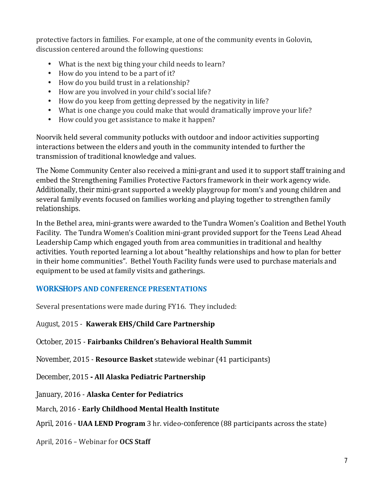protective factors in families. For example, at one of the community events in Golovin, discussion centered around the following questions:

- What is the next big thing your child needs to learn?
- How do you intend to be a part of it?  $\mathcal{L}^{\text{max}}$
- How do you build trust in a relationship?  $\mathcal{L}^{\text{max}}$
- How are you involved in your child's social life?  $\mathcal{L}^{\text{max}}$
- How do you keep from getting depressed by the negativity in life?  $\mathcal{L}^{\text{max}}$
- What is one change you could make that would dramatically improve your life?
- How could you get assistance to make it happen?  $\mathbf{r}^{\mathrm{max}}$

Noorvik held several community potlucks with outdoor and indoor activities supporting interactions between the elders and youth in the community intended to further the transmission of traditional knowledge and values.

The Nome Community Center also received a mini-grant and used it to support staff training and embed the Strengthening Families Protective Factors framework in their work agency wide. Additionally, their mini-grant supported a weekly playgroup for mom's and young children and several family events focused on families working and playing together to strengthen family relationships.

In the Bethel area, mini-grants were awarded to the Tundra Women's Coalition and Bethel Youth Facility. The Tundra Women's Coalition mini-grant provided support for the Teens Lead Ahead Leadership Camp which engaged youth from area communities in traditional and healthy activities. Youth reported learning a lot about "healthy relationships and how to plan for better in their home communities". Bethel Youth Facility funds were used to purchase materials and equipment to be used at family visits and gatherings.

#### **WORKSHOPS AND CONFERENCE PRESENTATIONS**

Several presentations were made during FY16. They included:

August, 2015 - **Kawerak EHS/Child Care Partnership**

October, 2015 - **Fairbanks Children's Behavioral Health Summit**

November, 2015 - **Resource Basket** statewide webinar (41 participants)

December, 2015 **- All Alaska Pediatric Partnership**

January, 2016 - **Alaska Center for Pediatrics**

March, 2016 - **Early Childhood Mental Health Institute**

April, 2016 - **UAA LEND Program** 3 hr. video-conference (88 participants across the state)

April, 2016 – Webinar for **OCS Staff**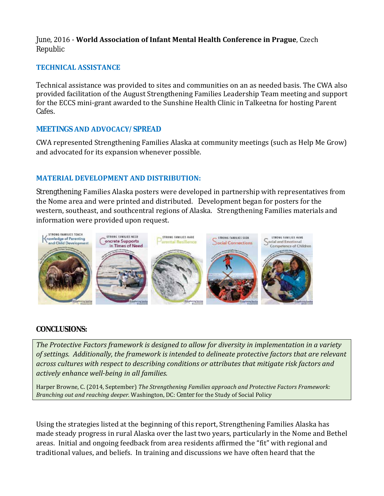#### June, 2016 - **World Association of Infant Mental Health Conference in Prague**, Czech Republic

#### **TECHNICAL ASSISTANCE**

Technical assistance was provided to sites and communities on an as needed basis. The CWA also provided facilitation of the August Strengthening Families Leadership Team meeting and support for the ECCS mini-grant awarded to the Sunshine Health Clinic in Talkeetna for hosting Parent Cafes.

#### **MEETINGS AND ADVOCACY/SPREAD**

CWA represented Strengthening Families Alaska at community meetings (such as Help Me Grow) and advocated for its expansion whenever possible.

#### **MATERIAL DEVELOPMENT AND DISTRIBUTION:**

Strengthening Families Alaska posters were developed in partnership with representatives from the Nome area and were printed and distributed. Development began for posters for the western, southeast, and southcentral regions of Alaska. Strengthening Families materials and information were provided upon request.



#### **CONCLUSIONS:**

*The Protective Factors framework is designed to allow for diversity in implementation in a variety of settings. Additionally, the framework is intended to delineate protective factors that are relevant across cultures with respect to describing conditions or attributes that mitigate risk factors and actively enhance well-being in all families.* 

Harper Browne, C. (2014, September) *The Strengthening Families approach and Protective Factors Framework: Branching out and reaching deeper.* Washington, DC: Center for the Study of Social Policy

Using the strategies listed at the beginning of this report, Strengthening Families Alaska has made steady progress in rural Alaska over the last two years, particularly in the Nome and Bethel areas. Initial and ongoing feedback from area residents affirmed the "fit" with regional and traditional values, and beliefs. In training and discussions we have often heard that the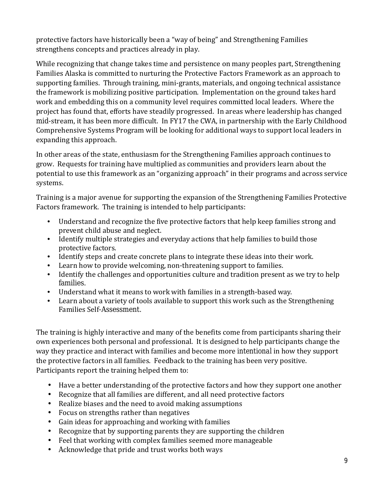protective factors have historically been a "way of being" and Strengthening Families strengthens concepts and practices already in play.

While recognizing that change takes time and persistence on many peoples part, Strengthening Families Alaska is committed to nurturing the Protective Factors Framework as an approach to supporting families. Through training, mini-grants, materials, and ongoing technical assistance the framework is mobilizing positive participation. Implementation on the ground takes hard work and embedding this on a community level requires committed local leaders. Where the project has found that, efforts have steadily progressed. In areas where leadership has changed mid-stream, it has been more difficult. In FY17 the CWA, in partnership with the Early Childhood Comprehensive Systems Program will be looking for additional ways to support local leaders in expanding this approach.

In other areas of the state, enthusiasm for the Strengthening Families approach continues to grow. Requests for training have multiplied as communities and providers learn about the potential to use this framework as an "organizing approach" in their programs and across service systems.

Training is a major avenue for supporting the expansion of the Strengthening Families Protective Factors framework. The training is intended to help participants:

- Understand and recognize the five protective factors that help keep families strong and prevent child abuse and neglect.
- Identify multiple strategies and everyday actions that help families to build those protective factors.
- Identify steps and create concrete plans to integrate these ideas into their work.
- Learn how to provide welcoming, non-threatening support to families.
- Identify the challenges and opportunities culture and tradition present as we try to help families.
- Understand what it means to work with families in a strength-based way.
- Learn about a variety of tools available to support this work such as the Strengthening Families Self-Assessment.

The training is highly interactive and many of the benefits come from participants sharing their own experiences both personal and professional. It is designed to help participants change the way they practice and interact with families and become more *intentional* in how they support the protective factors in all families. Feedback to the training has been very positive. Participants report the training helped them to:

- Have a better understanding of the protective factors and how they support one another  $\mathbf{r}$
- $\mathbf{r}^{(1)}$ Recognize that all families are different, and all need protective factors
- Realize biases and the need to avoid making assumptions
- $\mathbf{r}^{\top}$ Focus on strengths rather than negatives
- Gain ideas for approaching and working with families
- Recognize that by supporting parents they are supporting the children  $\mathbf{r} = \mathbf{r}$
- Feel that working with complex families seemed more manageable  $\mathbf{r}^{(1)}$
- Acknowledge that pride and trust works both ways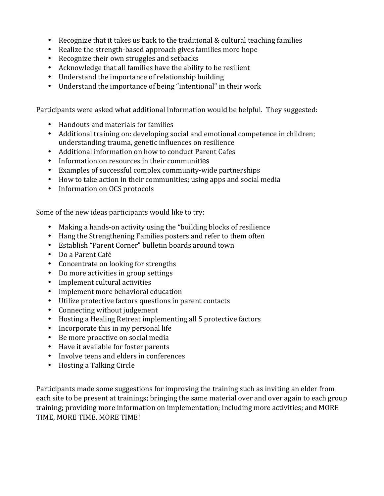- ä, Recognize that it takes us back to the traditional & cultural teaching families
- Realize the strength-based approach gives families more hope ä,
- Recognize their own struggles and setbacks
- Acknowledge that all families have the ability to be resilient  $\mathbf{r}$
- Understand the importance of relationship building  $\mathbf{r}$
- Understand the importance of being "intentional" in their work  $\mathbf{r}^{\mathrm{max}}$

Participants were asked what additional information would be helpful. They suggested:

- Handouts and materials for families
- Additional training on: developing social and emotional competence in children;  $\mathbf{r}$  . understanding trauma, genetic influences on resilience
- Additional information on how to conduct Parent Cafes
- Information on resources in their communities
- Examples of successful complex community-wide partnerships  $\mathcal{L}^{\text{max}}$
- How to take action in their communities; using apps and social media
- Information on OCS protocols

Some of the new ideas participants would like to try:

- Making a hands-on activity using the "building blocks of resilience  $\mathbf{r}$
- Hang the Strengthening Families posters and refer to them often  $\mathbf{r}^{\mathrm{max}}$
- Establish "Parent Corner" bulletin boards around town
- Do a Parent Café
- Concentrate on looking for strengths
- Do more activities in group settings
- $\mathbf{r}^{\prime}$ Implement cultural activities
- Implement more behavioral education  $\mathbf{r}$
- Utilize protective factors questions in parent contacts  $\mathbf{r}^{\prime}$
- Connecting without judgement
- Hosting a Healing Retreat implementing all 5 protective factors  $\mathbf{r}$
- Incorporate this in my personal life  $\mathbf{r}$  .
- Be more proactive on social media
- Have it available for foster parents  $\mathbf{r}$
- Involve teens and elders in conferences
- Hosting a Talking Circle

Participants made some suggestions for improving the training such as inviting an elder from each site to be present at trainings; bringing the same material over and over again to each group training; providing more information on implementation; including more activities; and MORE TIME, MORE TIME, MORE TIME!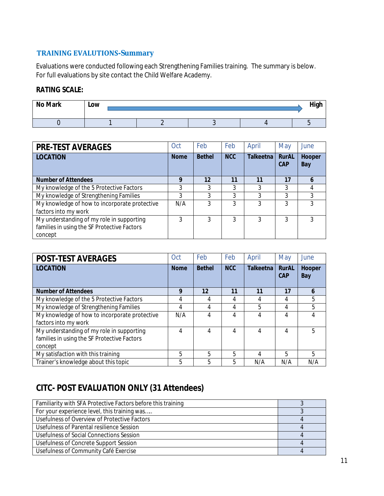#### **TRAINING EVALUTIONS-Summary**

Evaluations were conducted following each Strengthening Families training. The summary is below. For full evaluations by site contact the Child Welfare Academy.

#### **RATING SCALE:**

| <b>No Mark</b> | Low |  | High |
|----------------|-----|--|------|
|                |     |  |      |

| <b>PRE-TEST AVERAGES</b>                      | Oct         | Feb           | Feb        | April       | May                        | June                 |
|-----------------------------------------------|-------------|---------------|------------|-------------|----------------------------|----------------------|
| <b>LOCATION</b>                               | <b>Nome</b> | <b>Bethel</b> | <b>NCC</b> | Talkeetna l | <b>RurAL</b><br><b>CAP</b> | <b>Hooper</b><br>Bay |
| <b>Number of Attendees</b>                    | 9           | 12            | 11         | 11          | 17                         | h                    |
| My knowledge of the 5 Protective Factors      | 3           | 3             | 3          | 3           | 3                          |                      |
| My knowledge of Strengthening Families        | 3           | 3             | 3          | 3           | 3                          | 3                    |
| My knowledge of how to incorporate protective | N/A         | 3             | 3          | 3           | 3                          | 3                    |
| factors into my work                          |             |               |            |             |                            |                      |
| My understanding of my role in supporting     | 3           |               | 3          | 3           | 3                          | 3                    |
| families in using the SF Protective Factors   |             |               |            |             |                            |                      |
| concept                                       |             |               |            |             |                            |                      |

| <b>POST-TEST AVERAGES</b>                     | Oct         | Feb           | Feb        | April       | May                 | June          |
|-----------------------------------------------|-------------|---------------|------------|-------------|---------------------|---------------|
| <b>LOCATION</b>                               | <b>Nome</b> | <b>Bethel</b> | <b>NCC</b> | Talkeetna l | <b>RurAL</b><br>CAP | Hooper<br>Bay |
| <b>Number of Attendees</b>                    | 9           | 12            | 11         | 11          | 17                  | 6             |
| My knowledge of the 5 Protective Factors      | 4           | 4             | 4          | 4           | 4                   | 5             |
| My knowledge of Strengthening Families        | 4           | 4             | 4          | 5           | 4                   | 5             |
| My knowledge of how to incorporate protective | N/A         | 4             | 4          | 4           | 4                   | 4             |
| factors into my work                          |             |               |            |             |                     |               |
| My understanding of my role in supporting     | 4           | 4             | 4          | 4           | 4                   | 5             |
| families in using the SF Protective Factors   |             |               |            |             |                     |               |
| concept                                       |             |               |            |             |                     |               |
| My satisfaction with this training            | 5           | 5             | 5          | 4           | 5                   | 5             |
| Trainer's knowledge about this topic          | 5           | 5             | 5          | N/A         | N/A                 | N/A           |

# **CITC- POST EVALUATION ONLY (31 Attendees)**

| Familiarity with SFA Protective Factors before this training |  |
|--------------------------------------------------------------|--|
| For your experience level, this training was                 |  |
| Usefulness of Overview of Protective Factors                 |  |
| Usefulness of Parental resilience Session                    |  |
| Usefulness of Social Connections Session                     |  |
| Usefulness of Concrete Support Session                       |  |
| Usefulness of Community Café Exercise                        |  |